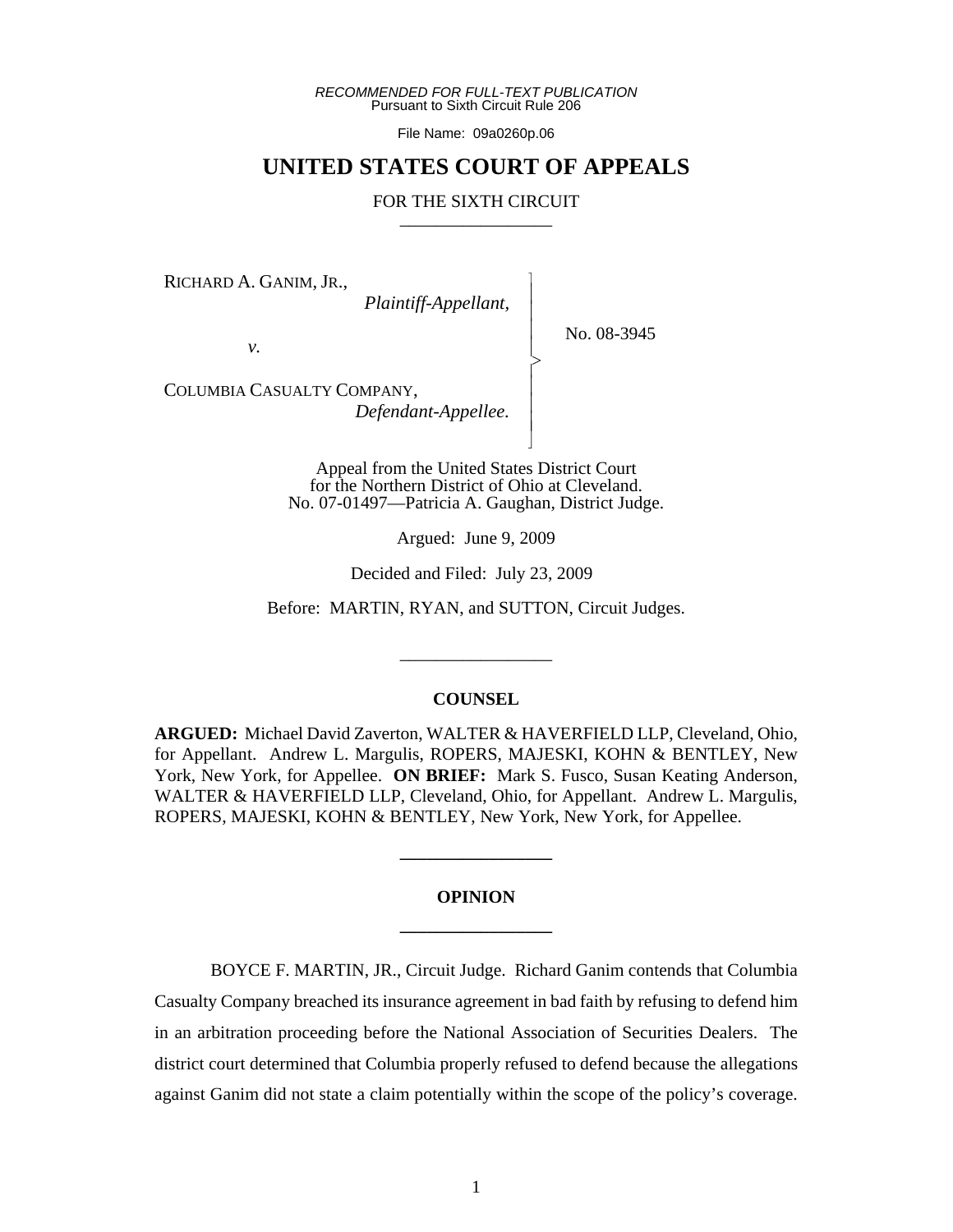*RECOMMENDED FOR FULL-TEXT PUBLICATION* Pursuant to Sixth Circuit Rule 206

File Name: 09a0260p.06

# **UNITED STATES COURT OF APPEALS**

## FOR THE SIXTH CIRCUIT

 $\overline{\phantom{a}}$ - - - > , - - - N

RICHARD A. GANIM, JR.,

 *Plaintiff-Appellant,*

No. 08-3945

*v.*

COLUMBIA CASUALTY COMPANY,  *Defendant-Appellee.*

> Appeal from the United States District Court for the Northern District of Ohio at Cleveland. No. 07-01497—Patricia A. Gaughan, District Judge.

> > Argued: June 9, 2009

Decided and Filed: July 23, 2009

Before: MARTIN, RYAN, and SUTTON, Circuit Judges.

\_\_\_\_\_\_\_\_\_\_\_\_\_\_\_\_\_

#### **COUNSEL**

**ARGUED:** Michael David Zaverton, WALTER & HAVERFIELD LLP, Cleveland, Ohio, for Appellant. Andrew L. Margulis, ROPERS, MAJESKI, KOHN & BENTLEY, New York, New York, for Appellee. **ON BRIEF:** Mark S. Fusco, Susan Keating Anderson, WALTER & HAVERFIELD LLP, Cleveland, Ohio, for Appellant. Andrew L. Margulis, ROPERS, MAJESKI, KOHN & BENTLEY, New York, New York, for Appellee.

# **OPINION \_\_\_\_\_\_\_\_\_\_\_\_\_\_\_\_\_**

**\_\_\_\_\_\_\_\_\_\_\_\_\_\_\_\_\_**

BOYCE F. MARTIN, JR., Circuit Judge. Richard Ganim contends that Columbia Casualty Company breached its insurance agreement in bad faith by refusing to defend him in an arbitration proceeding before the National Association of Securities Dealers. The district court determined that Columbia properly refused to defend because the allegations against Ganim did not state a claim potentially within the scope of the policy's coverage.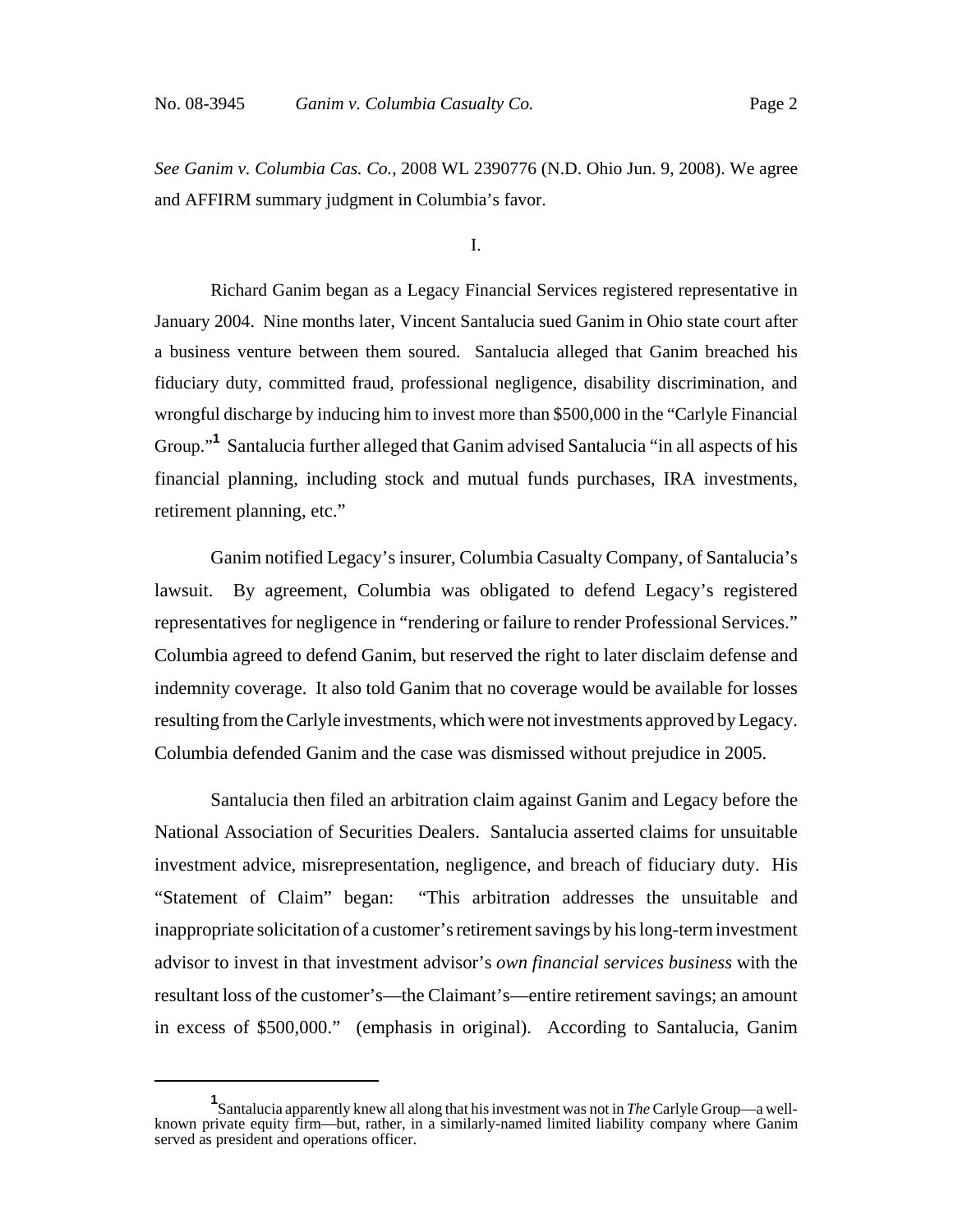*See Ganim v. Columbia Cas. Co.*, 2008 WL 2390776 (N.D. Ohio Jun. 9, 2008). We agree and AFFIRM summary judgment in Columbia's favor.

I.

Richard Ganim began as a Legacy Financial Services registered representative in January 2004. Nine months later, Vincent Santalucia sued Ganim in Ohio state court after a business venture between them soured. Santalucia alleged that Ganim breached his fiduciary duty, committed fraud, professional negligence, disability discrimination, and wrongful discharge by inducing him to invest more than \$500,000 in the "Carlyle Financial Group."**<sup>1</sup>** Santalucia further alleged that Ganim advised Santalucia "in all aspects of his financial planning, including stock and mutual funds purchases, IRA investments, retirement planning, etc."

Ganim notified Legacy's insurer, Columbia Casualty Company, of Santalucia's lawsuit. By agreement, Columbia was obligated to defend Legacy's registered representatives for negligence in "rendering or failure to render Professional Services." Columbia agreed to defend Ganim, but reserved the right to later disclaim defense and indemnity coverage. It also told Ganim that no coverage would be available for losses resulting from the Carlyle investments, which were not investments approved by Legacy. Columbia defended Ganim and the case was dismissed without prejudice in 2005.

Santalucia then filed an arbitration claim against Ganim and Legacy before the National Association of Securities Dealers. Santalucia asserted claims for unsuitable investment advice, misrepresentation, negligence, and breach of fiduciary duty. His "Statement of Claim" began: "This arbitration addresses the unsuitable and inappropriate solicitation of a customer's retirement savings by his long-term investment advisor to invest in that investment advisor's *own financial services business* with the resultant loss of the customer's—the Claimant's—entire retirement savings; an amount in excess of \$500,000." (emphasis in original). According to Santalucia, Ganim

**<sup>1</sup>** Santalucia apparently knew all along that his investment was not in *The* Carlyle Group—a wellknown private equity firm—but, rather, in a similarly-named limited liability company where Ganim served as president and operations officer.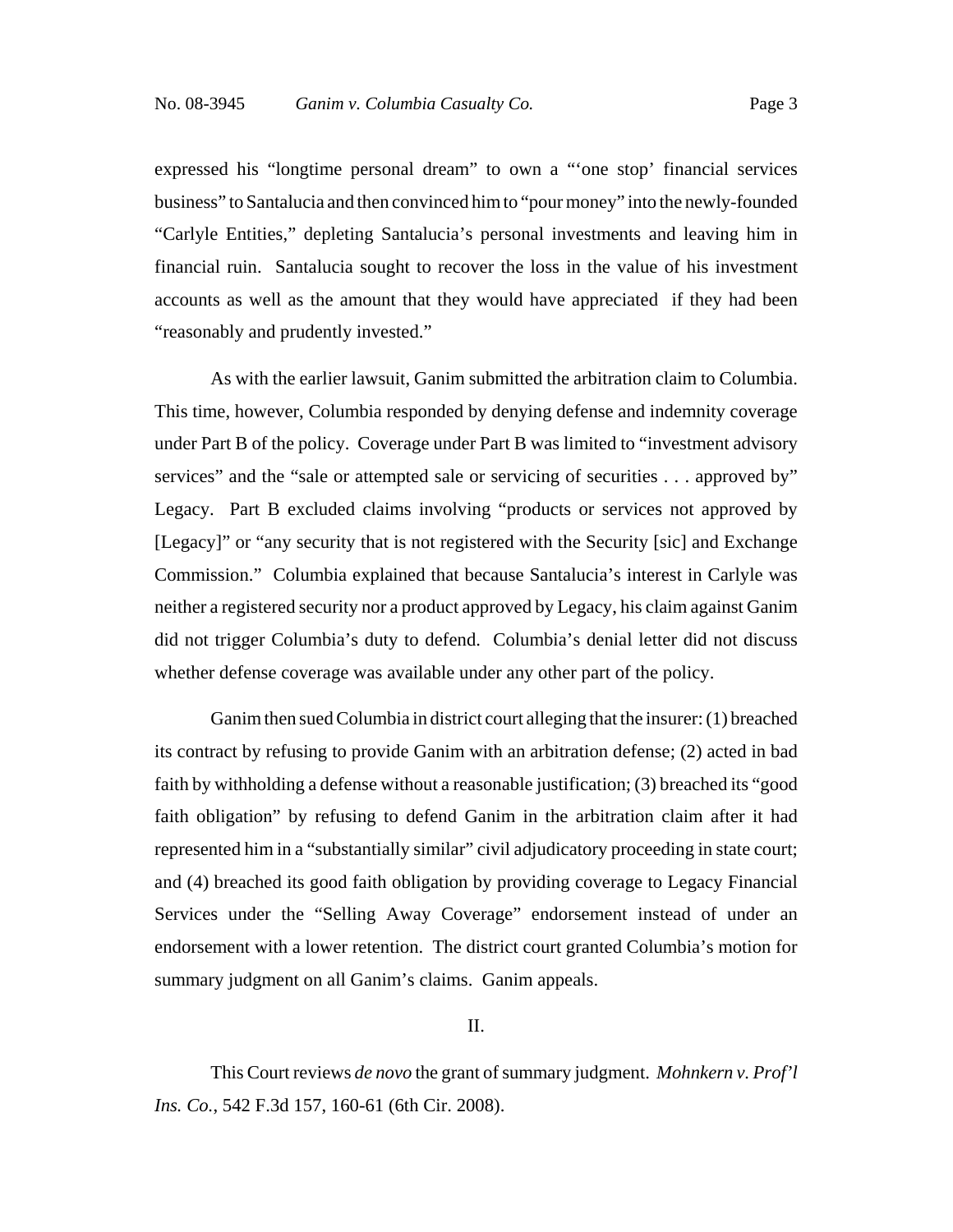expressed his "longtime personal dream" to own a "'one stop' financial services business" to Santalucia and then convinced him to "pour money" into the newly-founded "Carlyle Entities," depleting Santalucia's personal investments and leaving him in financial ruin. Santalucia sought to recover the loss in the value of his investment accounts as well as the amount that they would have appreciated if they had been "reasonably and prudently invested."

As with the earlier lawsuit, Ganim submitted the arbitration claim to Columbia. This time, however, Columbia responded by denying defense and indemnity coverage under Part B of the policy. Coverage under Part B was limited to "investment advisory services" and the "sale or attempted sale or servicing of securities . . . approved by" Legacy. Part B excluded claims involving "products or services not approved by [Legacy]" or "any security that is not registered with the Security [sic] and Exchange Commission." Columbia explained that because Santalucia's interest in Carlyle was neither a registered security nor a product approved by Legacy, his claim against Ganim did not trigger Columbia's duty to defend. Columbia's denial letter did not discuss whether defense coverage was available under any other part of the policy.

Ganim then sued Columbia in district court alleging that the insurer: (1) breached its contract by refusing to provide Ganim with an arbitration defense; (2) acted in bad faith by withholding a defense without a reasonable justification; (3) breached its "good faith obligation" by refusing to defend Ganim in the arbitration claim after it had represented him in a "substantially similar" civil adjudicatory proceeding in state court; and (4) breached its good faith obligation by providing coverage to Legacy Financial Services under the "Selling Away Coverage" endorsement instead of under an endorsement with a lower retention. The district court granted Columbia's motion for summary judgment on all Ganim's claims. Ganim appeals.

II.

This Court reviews *de novo* the grant of summary judgment. *Mohnkern v. Prof'l Ins. Co.*, 542 F.3d 157, 160-61 (6th Cir. 2008).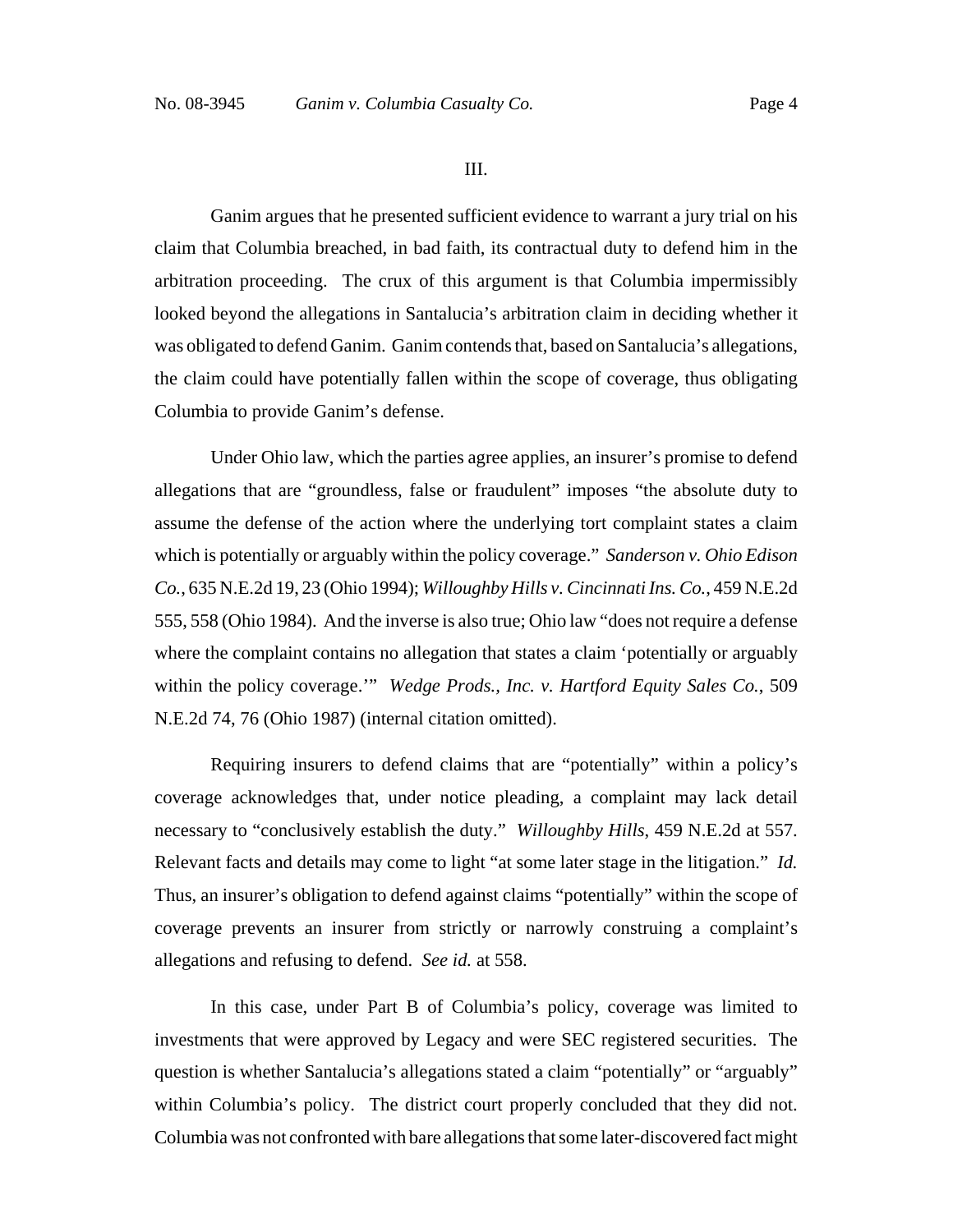III.

Ganim argues that he presented sufficient evidence to warrant a jury trial on his claim that Columbia breached, in bad faith, its contractual duty to defend him in the arbitration proceeding. The crux of this argument is that Columbia impermissibly looked beyond the allegations in Santalucia's arbitration claim in deciding whether it was obligated to defend Ganim. Ganim contends that, based on Santalucia's allegations, the claim could have potentially fallen within the scope of coverage, thus obligating Columbia to provide Ganim's defense.

Under Ohio law, which the parties agree applies, an insurer's promise to defend allegations that are "groundless, false or fraudulent" imposes "the absolute duty to assume the defense of the action where the underlying tort complaint states a claim which is potentially or arguably within the policy coverage." *Sanderson v. Ohio Edison Co.*, 635 N.E.2d 19, 23 (Ohio 1994); *Willoughby Hills v. Cincinnati Ins. Co.*, 459 N.E.2d 555, 558 (Ohio 1984). And the inverse is also true; Ohio law "does not require a defense where the complaint contains no allegation that states a claim 'potentially or arguably within the policy coverage.'" *Wedge Prods., Inc. v. Hartford Equity Sales Co.*, 509 N.E.2d 74, 76 (Ohio 1987) (internal citation omitted).

Requiring insurers to defend claims that are "potentially" within a policy's coverage acknowledges that, under notice pleading, a complaint may lack detail necessary to "conclusively establish the duty." *Willoughby Hills*, 459 N.E.2d at 557. Relevant facts and details may come to light "at some later stage in the litigation." *Id.* Thus, an insurer's obligation to defend against claims "potentially" within the scope of coverage prevents an insurer from strictly or narrowly construing a complaint's allegations and refusing to defend. *See id.* at 558.

In this case, under Part B of Columbia's policy, coverage was limited to investments that were approved by Legacy and were SEC registered securities. The question is whether Santalucia's allegations stated a claim "potentially" or "arguably" within Columbia's policy. The district court properly concluded that they did not. Columbia was not confronted with bare allegations that some later-discovered fact might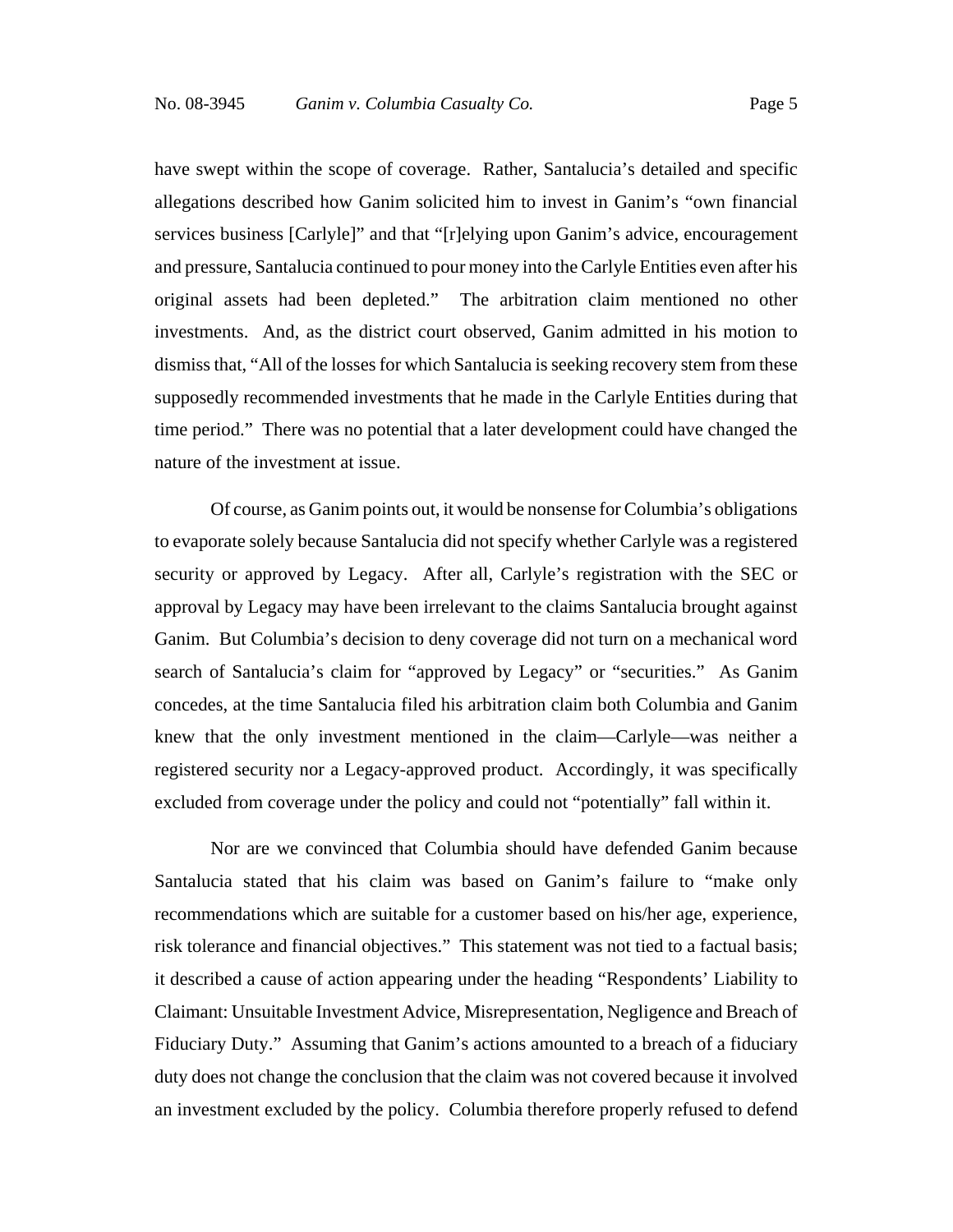have swept within the scope of coverage. Rather, Santalucia's detailed and specific allegations described how Ganim solicited him to invest in Ganim's "own financial services business [Carlyle]" and that "[r]elying upon Ganim's advice, encouragement and pressure, Santalucia continued to pour money into the Carlyle Entities even after his original assets had been depleted." The arbitration claim mentioned no other investments. And, as the district court observed, Ganim admitted in his motion to dismiss that, "All of the losses for which Santalucia is seeking recovery stem from these supposedly recommended investments that he made in the Carlyle Entities during that time period." There was no potential that a later development could have changed the nature of the investment at issue.

Of course, as Ganim points out, it would be nonsense for Columbia's obligations to evaporate solely because Santalucia did not specify whether Carlyle was a registered security or approved by Legacy. After all, Carlyle's registration with the SEC or approval by Legacy may have been irrelevant to the claims Santalucia brought against Ganim. But Columbia's decision to deny coverage did not turn on a mechanical word search of Santalucia's claim for "approved by Legacy" or "securities." As Ganim concedes, at the time Santalucia filed his arbitration claim both Columbia and Ganim knew that the only investment mentioned in the claim—Carlyle—was neither a registered security nor a Legacy-approved product. Accordingly, it was specifically excluded from coverage under the policy and could not "potentially" fall within it.

Nor are we convinced that Columbia should have defended Ganim because Santalucia stated that his claim was based on Ganim's failure to "make only recommendations which are suitable for a customer based on his/her age, experience, risk tolerance and financial objectives." This statement was not tied to a factual basis; it described a cause of action appearing under the heading "Respondents' Liability to Claimant: Unsuitable Investment Advice, Misrepresentation, Negligence and Breach of Fiduciary Duty." Assuming that Ganim's actions amounted to a breach of a fiduciary duty does not change the conclusion that the claim was not covered because it involved an investment excluded by the policy. Columbia therefore properly refused to defend